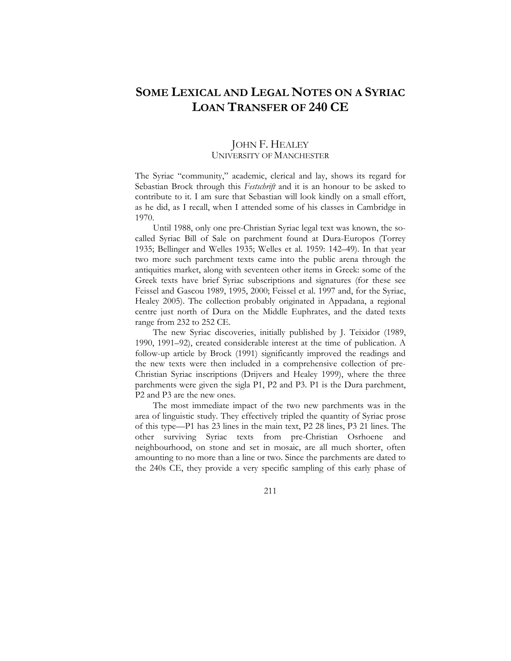# **SOME LEXICAL AND LEGAL NOTES ON A SYRIAC LOAN TRANSFER OF 240 CE**

# JOHN F. HEALEY UNIVERSITY OF MANCHESTER

The Syriac "community," academic, clerical and lay, shows its regard for Sebastian Brock through this *Festschrift* and it is an honour to be asked to contribute to it. I am sure that Sebastian will look kindly on a small effort, as he did, as I recall, when I attended some of his classes in Cambridge in 1970.

Until 1988, only one pre-Christian Syriac legal text was known, the socalled Syriac Bill of Sale on parchment found at Dura-Europos (Torrey 1935; Bellinger and Welles 1935; Welles et al. 1959: 142–49). In that year two more such parchment texts came into the public arena through the antiquities market, along with seventeen other items in Greek: some of the Greek texts have brief Syriac subscriptions and signatures (for these see Feissel and Gascou 1989, 1995, 2000; Feissel et al. 1997 and, for the Syriac, Healey 2005). The collection probably originated in Appadana, a regional centre just north of Dura on the Middle Euphrates, and the dated texts range from 232 to 252 CE.

The new Syriac discoveries, initially published by J. Teixidor (1989, 1990, 1991–92), created considerable interest at the time of publication. A follow-up article by Brock (1991) significantly improved the readings and the new texts were then included in a comprehensive collection of pre-Christian Syriac inscriptions (Drijvers and Healey 1999), where the three parchments were given the sigla P1, P2 and P3. P1 is the Dura parchment, P2 and P3 are the new ones.

The most immediate impact of the two new parchments was in the area of linguistic study. They effectively tripled the quantity of Syriac prose of this type—P1 has 23 lines in the main text, P2 28 lines, P3 21 lines. The other surviving Syriac texts from pre-Christian Osrhoene and neighbourhood, on stone and set in mosaic, are all much shorter, often amounting to no more than a line or two. Since the parchments are dated to the 240s CE, they provide a very specific sampling of this early phase of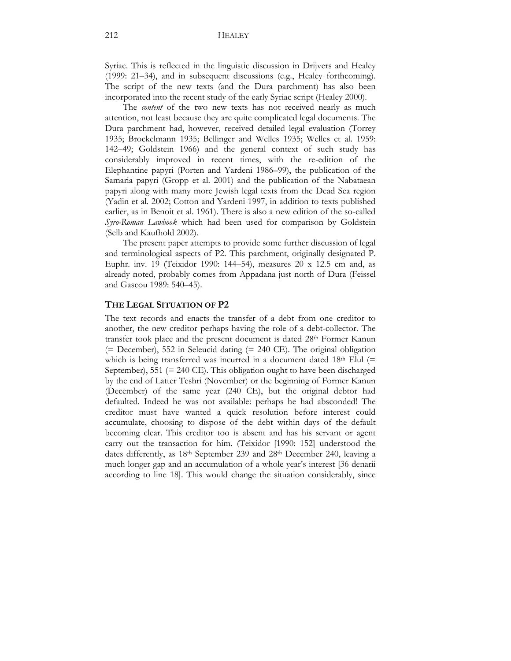Syriac. This is reflected in the linguistic discussion in Drijvers and Healey (1999: 21–34), and in subsequent discussions (e.g., Healey forthcoming). The script of the new texts (and the Dura parchment) has also been incorporated into the recent study of the early Syriac script (Healey 2000).

The *content* of the two new texts has not received nearly as much attention, not least because they are quite complicated legal documents. The Dura parchment had, however, received detailed legal evaluation (Torrey 1935; Brockelmann 1935; Bellinger and Welles 1935; Welles et al. 1959: 142–49; Goldstein 1966) and the general context of such study has considerably improved in recent times, with the re-edition of the Elephantine papyri (Porten and Yardeni 1986–99), the publication of the Samaria papyri (Gropp et al. 2001) and the publication of the Nabataean papyri along with many more Jewish legal texts from the Dead Sea region (Yadin et al. 2002; Cotton and Yardeni 1997, in addition to texts published earlier, as in Benoit et al. 1961). There is also a new edition of the so-called *Syro-Roman Lawbook* which had been used for comparison by Goldstein (Selb and Kaufhold 2002).

The present paper attempts to provide some further discussion of legal and terminological aspects of P2. This parchment, originally designated P. Euphr. inv. 19 (Teixidor 1990: 144–54), measures 20 x 12.5 cm and, as already noted, probably comes from Appadana just north of Dura (Feissel and Gascou 1989: 540–45).

### **THE LEGAL SITUATION OF P2**

The text records and enacts the transfer of a debt from one creditor to another, the new creditor perhaps having the role of a debt-collector. The transfer took place and the present document is dated 28<sup>th</sup> Former Kanun (= December), 552 in Seleucid dating (= 240 CE). The original obligation which is being transferred was incurred in a document dated  $18<sup>th</sup>$  Elul (= September), 551 (= 240 CE). This obligation ought to have been discharged by the end of Latter Teshri (November) or the beginning of Former Kanun (December) of the same year (240 CE), but the original debtor had defaulted. Indeed he was not available: perhaps he had absconded! The creditor must have wanted a quick resolution before interest could accumulate, choosing to dispose of the debt within days of the default becoming clear. This creditor too is absent and has his servant or agent carry out the transaction for him. (Teixidor [1990: 152] understood the dates differently, as 18<sup>th</sup> September 239 and 28<sup>th</sup> December 240, leaving a much longer gap and an accumulation of a whole year's interest [36 denarii according to line 18]. This would change the situation considerably, since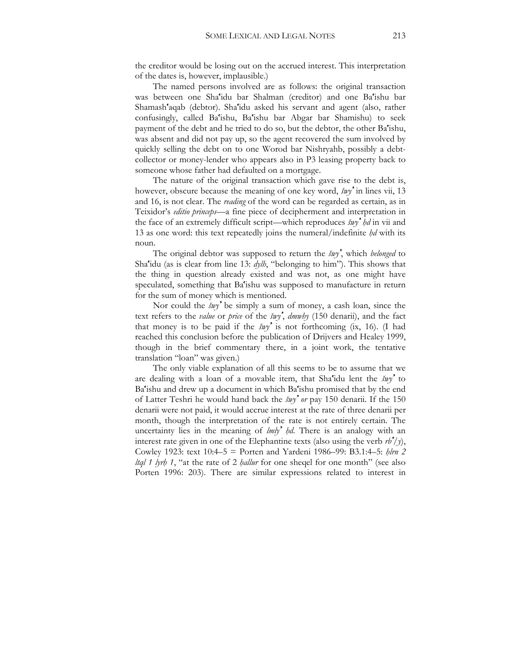the creditor would be losing out on the accrued interest. This interpretation of the dates is, however, implausible.)

The named persons involved are as follows: the original transaction was between one Sha'idu bar Shalman (creditor) and one Ba'ishu bar Shamash'aqab (debtor). Sha'idu asked his servant and agent (also, rather confusingly, called Ba'ishu, Ba'ishu bar Abgar bar Shamishu) to seek payment of the debt and he tried to do so, but the debtor, the other Ba'ishu, was absent and did not pay up, so the agent recovered the sum involved by quickly selling the debt on to one Worod bar Nishryahb, possibly a debtcollector or money-lender who appears also in P3 leasing property back to someone whose father had defaulted on a mortgage.

The nature of the original transaction which gave rise to the debt is, however, obscure because the meaning of one key word, *šwy'* in lines vii, 13 and 16, is not clear. The *reading* of the word can be regarded as certain, as in Teixidor's *editio princeps*—a fine piece of decipherment and interpretation in the face of an extremely difficult script—which reproduces *šwy' ḥd* in vii and 13 as one word: this text repeatedly joins the numeral/indefinite *ḥd* with its noun.

The original debtor was supposed to return the *šwy'*, which *belonged* to Sha'idu (as is clear from line 13: *dylh*, "belonging to him"). This shows that the thing in question already existed and was not, as one might have speculated, something that Ba'ishu was supposed to manufacture in return for the sum of money which is mentioned.

Nor could the *šwy'* be simply a sum of money, a cash loan, since the text refers to the *value* or *price* of the *šwy'*, *dmwhy* (150 denarii), and the fact that money is to be paid if the *šwy'* is not forthcoming (ix, 16). (I had reached this conclusion before the publication of Drijvers and Healey 1999, though in the brief commentary there, in a joint work, the tentative translation "loan" was given.)

The only viable explanation of all this seems to be to assume that we are dealing with a loan of a movable item, that Sha'idu lent the *šwy'* to Ba'ishu and drew up a document in which Ba'ishu promised that by the end of Latter Teshri he would hand back the *šwy' or* pay 150 denarii. If the 150 denarii were not paid, it would accrue interest at the rate of three denarii per month, though the interpretation of the rate is not entirely certain. The uncertainty lies in the meaning of *lmly<sup><i>'*</sup> hd. There is an analogy with an interest rate given in one of the Elephantine texts (also using the verb *rb'/y*), Cowley 1923: text 10:4–5 = Porten and Yardeni 1986–99: B3.1:4–5: *ḥlrn 2 ltql 1 lyrḥ 1*, "at the rate of 2 *ḥallur* for one sheqel for one month" (see also Porten 1996: 203). There are similar expressions related to interest in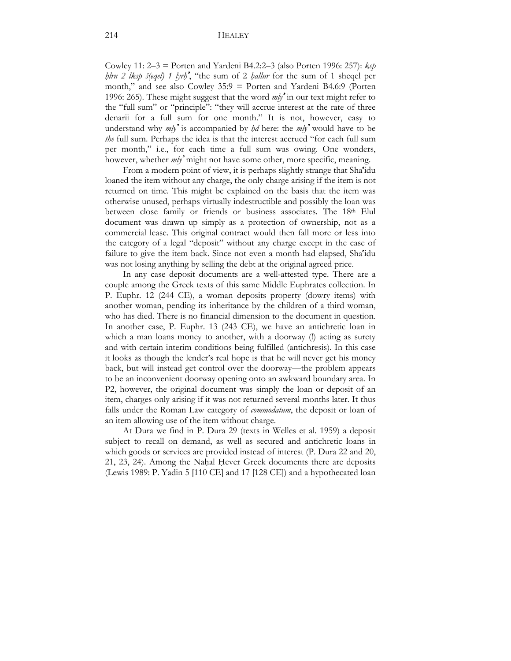Cowley 11: 2–3 = Porten and Yardeni B4.2:2–3 (also Porten 1996: 257): *ksp ḥlrn 2 lksp š(eqel) 1 lyrḥ'*, "the sum of 2 *ḥallur* for the sum of 1 sheqel per month," and see also Cowley 35:9 = Porten and Yardeni B4.6:9 (Porten 1996: 265). These might suggest that the word *mly'* in our text might refer to the "full sum" or "principle": "they will accrue interest at the rate of three denarii for a full sum for one month." It is not, however, easy to understand why  $m/y^2$  is accompanied by  $h/d$  here: the  $m/y^2$  would have to be *the* full sum. Perhaps the idea is that the interest accrued "for each full sum per month," i.e., for each time a full sum was owing. One wonders, however, whether *mly'* might not have some other, more specific, meaning.

From a modern point of view, it is perhaps slightly strange that Sha'idu loaned the item without any charge, the only charge arising if the item is not returned on time. This might be explained on the basis that the item was otherwise unused, perhaps virtually indestructible and possibly the loan was between close family or friends or business associates. The 18th Elul document was drawn up simply as a protection of ownership, not as a commercial lease. This original contract would then fall more or less into the category of a legal "deposit" without any charge except in the case of failure to give the item back. Since not even a month had elapsed, Sha'idu was not losing anything by selling the debt at the original agreed price.

In any case deposit documents are a well-attested type. There are a couple among the Greek texts of this same Middle Euphrates collection. In P. Euphr. 12 (244 CE), a woman deposits property (dowry items) with another woman, pending its inheritance by the children of a third woman, who has died. There is no financial dimension to the document in question. In another case, P. Euphr. 13 (243 CE), we have an antichretic loan in which a man loans money to another, with a doorway (!) acting as surety and with certain interim conditions being fulfilled (antichresis). In this case it looks as though the lender's real hope is that he will never get his money back, but will instead get control over the doorway—the problem appears to be an inconvenient doorway opening onto an awkward boundary area. In P2, however, the original document was simply the loan or deposit of an item, charges only arising if it was not returned several months later. It thus falls under the Roman Law category of *commodatum*, the deposit or loan of an item allowing use of the item without charge.

At Dura we find in P. Dura 29 (texts in Welles et al. 1959) a deposit subject to recall on demand, as well as secured and antichretic loans in which goods or services are provided instead of interest (P. Dura 22 and 20, 21, 23, 24). Among the Naḥal Ḥever Greek documents there are deposits (Lewis 1989: P. Yadin 5 [110 CE] and 17 [128 CE]) and a hypothecated loan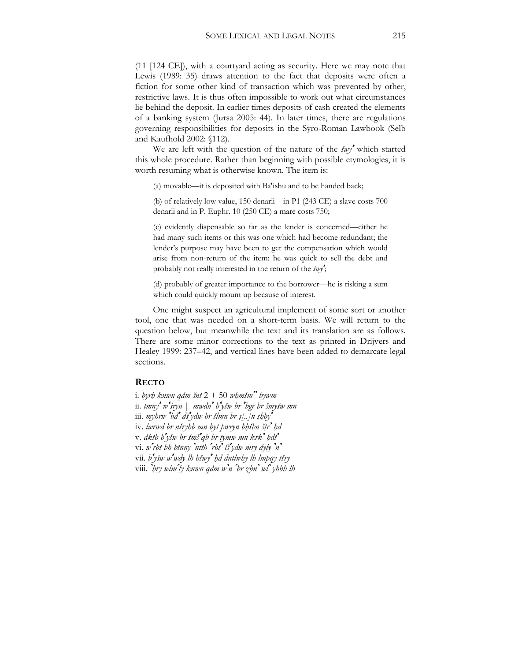(11 [124 CE]), with a courtyard acting as security. Here we may note that Lewis (1989: 35) draws attention to the fact that deposits were often a fiction for some other kind of transaction which was prevented by other, restrictive laws. It is thus often impossible to work out what circumstances lie behind the deposit. In earlier times deposits of cash created the elements of a banking system (Jursa 2005: 44). In later times, there are regulations governing responsibilities for deposits in the Syro-Roman Lawbook (Selb and Kaufhold 2002: §112).

We are left with the question of the nature of the *šwy'* which started this whole procedure. Rather than beginning with possible etymologies, it is worth resuming what is otherwise known. The item is:

(a) movable—it is deposited with Ba'ishu and to be handed back;

(b) of relatively low value, 150 denarii—in P1 (243 CE) a slave costs 700 denarii and in P. Euphr. 10 (250 CE) a mare costs 750;

(c) evidently dispensable so far as the lender is concerned—either he had many such items or this was one which had become redundant; the lender's purpose may have been to get the compensation which would arise from non-return of the item: he was quick to sell the debt and probably not really interested in the return of the *šwy'*;

(d) probably of greater importance to the borrower—he is risking a sum which could quickly mount up because of interest.

One might suspect an agricultural implement of some sort or another tool, one that was needed on a short-term basis. We will return to the question below, but meanwhile the text and its translation are as follows. There are some minor corrections to the text as printed in Drijvers and Healey 1999: 237–42, and vertical lines have been added to demarcate legal sections.

### **RECTO**

i. *byrḥ knwn qdm šnt* 2 + 50 *wḥmšm'' bywm* ii. *tmny' w'śryn* | *mwdn' b'yšw br 'bgr br šmyšw mn* iii. *myhrw 'bd' dš'ydw br šlmn br ṣ[..]n ṣḥby'* iv. *lwrwd br nšryhb mn byt pwryn bḥšbn šṭr' ḥd* v. *dktb b'yšw br šmš'qb br tymw mn krk' ḥdt'* vi. *w'rbt bh btnny 'ntth 'rbt' lš'ydw mry dyly 'n'* vii. *b'yšw w'wdy lh bšwy' ḥd dntlwhy lh lmpqy tšry* viii. *'ḥry wlm'ly knwn qdm w'n 'br zbn' wl' yhbh lh*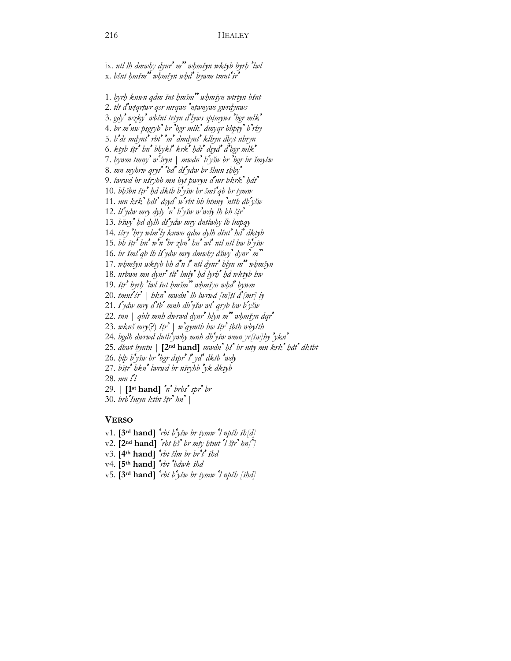ix. *ntl lh dmwhy dynr' m'' wḥmšyn wktyb byrḥ 'lwl*  x. *bšnt ḥmšm'' wḥmšyn wḥd' bywm tmnt'śr'*

1. *byrḥ knwn qdm šnt ḥmšm'' wḥmšyn wtrtyn bšnt*  2. *tlt d'wṭqrṭwr qsr mrqws 'nṭwnyws gwrdynws*  3. *gdy' wzky' wbšnt trtyn d'lyws spṭmyws 'bgr mlk'* 4. *br m'nw pṣgryb' br 'bgr mlk' dmyqr bhpṭy' b'rhy* 5. *b'ds mdynt' rbt' 'm' dmdynt' klhyn dbyt nhryn* 6. *ktyb šṭr' hn' bhykl' krk' ḥdt' dṣyd' d'bgr mlk'* 7. *bywm tmny' w'śryn* | *mwdn' b'yšw br 'bgr br šmyšw*  8. *mn myhrw qryt' 'bd' dš'ydw br šlmn ṣḥby'* 9. *lwrwd br nšryhb mn byt pwryn d'mr bkrk' ḥdt'* 10. *bḥšbn šṭr' ḥd dktb b'yšw br šmš'qb br tymw*  11. *mn krk' ḥdt' dṣyd' w'rbt bh btnny 'ntth db'yšw*  12. *lš'ydw mry dyly 'n' b'yšw w'wdy lh bh šṭr'* 13. *bšwy' ḥd dylh dš'ydw mry dntlwhy lh lmpqy*  14. *tšry 'ḥry wlm'ly knwn qdm dylh dšnt' hd' dktyb*  15. *bh šṭr' hn' w'n 'br zbn' hn' wl' ntl ntl hw b'yšw* 16. *br šmš'qb lh lš'ydw mry dmwhy dšwy' dynr' m''* 17. *wḥmšyn wktyb bh d'n l' ntl dynr' hlyn m'' wḥmšyn*  18. *nrbwn mn dynr' tlt' lmly' ḥd lyrḥ' ḥd wktyb hw*  19. *šṭr' byrḥ 'lwl šnt ḥmšm'' wḥmšyn wḥd' bywm*  20. *tmnt'śr'* | *hkn' mwdn' lh lwrwd [m]ṭl d'[mr] ly*  21. *š'ydw mry d'tb' mnh db'yšw wl' qryb hw b'yšw* 22. *tnn* | *qblt mnh dwrwd dynr' hlyn m'' wḥmšyn dqr'* 23. *wknš mry*(?) *šṭr'* | *w'qymth hw šṭr' ṭbth wbyšth* 24. *bgdh dwrwd dntb'ywhy mnh db'yšw wmn yr[tw]hy 'ykn'* 25. *dhwt byntn* | **[2nd hand]** *mwdn' ḥš' br mty mn krk' ḥdt' dktbt* 26. *ḥlp b'yšw br 'bgr dspr' l' yd' dktb 'wdy*  27. *bšṭr' hkn' lwrwd br nšryhb 'yk dktyb*  28. *mn l'l*  29. | **[1st hand]** *'n' brbs' spr' br* 30. *brb'šmyn ktbt šṭr' hn'* |

### **VERSO**

v1. **[3rd hand]** *'rbt b'yšw br tymw 'l npšh śh[d]*  $v^2$ . [2<sup>nd</sup> hand]  $\int^{\infty}$ *rbt hs*<sup>*s*</sup> *br mty htmt*  $\int^{\infty}$ *l štr*<sup>*s*</sup> *hn*<sup> $\infty$ </sup>] v3. **[4th hand]** *'rbt šlm br br't' śhd*  v4. **[5th hand]** *'rbt 'bdwk śhd*  v5. **[3rd hand]** *'rbt b'yšw br tymw 'l npšh [śhd]*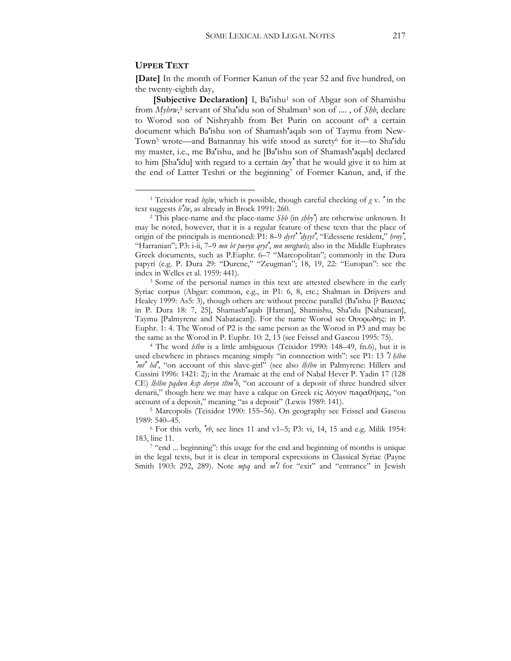### **UPPER TEXT**

 $\overline{a}$ 

**[Date]** In the month of Former Kanun of the year 52 and five hundred, on the twenty-eighth day,

**[Subjective Declaration] I**, Ba'ishu<sup>1</sup> son of Abgar son of Shamishu from *Myhrw*,<sup>2</sup> servant of Sha<sup>r</sup>idu son of Shalman<sup>3</sup> son of ...., of *Şhb*, declare to Worod son of Nishryahb from Bet Purin on account of<sup>4</sup> a certain document which Ba'ishu son of Shamash'aqab son of Taymu from New-Town5 wrote—and Batnannay his wife stood as surety6 for it—to Sha'idu my master, i.e., me Ba'ishu, and he [Ba'ishu son of Shamash'aqab] declared to him [Sha'idu] with regard to a certain *šwy'* that he would give it to him at the end of Latter Teshri or the beginning7 of Former Kanun, and, if the

Syriac corpus (Abgar: common, e.g., in P1: 6, 8, etc.; Shalman in Drijvers and Healey 1999: As5: 3), though others are without precise parallel (Ba'ishu [? Βαισας in P. Dura 18: 7, 25], Shamash'aqab [Hatran], Shamishu, Sha'idu [Nabataean], Taymu [Palmyrene and Nabataean]). For the name Worod see Ουορωδης: in P. Euphr. 1: 4. The Worod of P2 is the same person as the Worod in P3 and may be the same as the Worod in P. Euphr. 10: 2, 13 (see Feissel and Gascou 1995: 75). 4 The word *ḥšbn* is a little ambiguous (Teixidor 1990: 148–49, fn.6), but it is

used elsewhere in phrases meaning simply "in connection with": see P1: 13 *'l ḥšbn 'mt' hd'*, "on account of this slave-girl" (see also *lḥšbn* in Palmyrene: Hillers and Cussini 1996: 1421: 2); in the Aramaic at the end of Naḥal Ḥever P. Yadin 17 (128 CE) *lḥšbn pqdwn ksp dnryn tltm'h*, "on account of a deposit of three hundred silver denarii," though here we may have a calque on Greek εἰς λόγον παραθήκης, "on account of a deposit," meaning "as a deposit" (Lewis 1989: 141). 5 Marcopolis (Teixidor 1990: 155–56). On geography see Feissel and Gascou

1989: 540–45. 6 For this verb, *'rb*, see lines 11 and v1–5; P3: vi, 14, 15 and e.g. Milik 1954:

183, line 11.<br><sup>7</sup> "end ... beginning": this usage for the end and beginning of months is unique

in the legal texts, but it is clear in temporal expressions in Classical Syriac (Payne Smith 1903: 292, 289). Note *mpq* and *m'l* for "exit" and "entrance" in Jewish

<sup>1</sup> Teixidor read *bgšw*, which is possible, though careful checking of *g* v. *'* in the text suggests *b*<sup>*'sw*</sup>, as already in Brock 1991: 260.<br><sup>2</sup> This place-name and the place-name *Shb* (in *shby*) are otherwise unknown. It

may be noted, however, that it is a regular feature of these texts that the place of origin of the principals is mentioned: P1: 8–9 *dyrt' 'dysyt'*, "Edessene resident," *ḥrny'*, "Harranian"; P3: i-ii, 7–9 *mn bt pwryn qryt'*, *mn mrqpwls*; also in the Middle Euphrates Greek documents, such as P.Euphr. 6–7 "Marcopolitan"; commonly in the Dura papyri (e.g. P. Dura 29: "Durene," "Zeugman"; 18, 19, 22: "Europan": see the index in Welles et al. 1959: 441).<br><sup>3</sup> Some of the personal names in this text are attested elsewhere in the early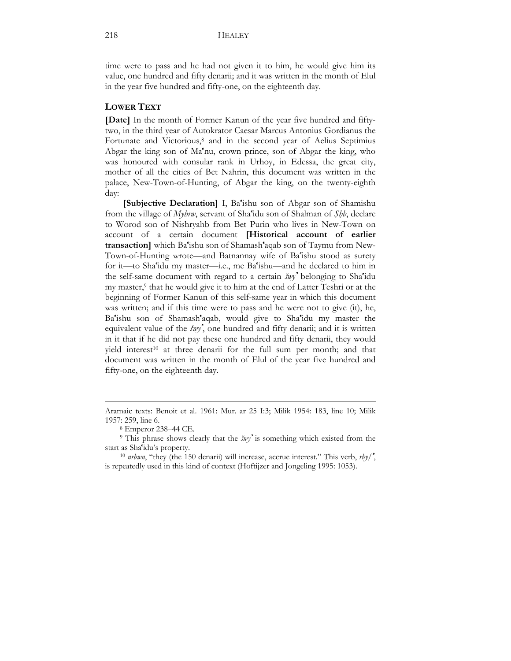time were to pass and he had not given it to him, he would give him its value, one hundred and fifty denarii; and it was written in the month of Elul in the year five hundred and fifty-one, on the eighteenth day.

### **LOWER TEXT**

**[Date]** In the month of Former Kanun of the year five hundred and fiftytwo, in the third year of Autokrator Caesar Marcus Antonius Gordianus the Fortunate and Victorious,<sup>8</sup> and in the second year of Aelius Septimius Abgar the king son of Ma'nu, crown prince, son of Abgar the king, who was honoured with consular rank in Urhoy, in Edessa, the great city, mother of all the cities of Bet Nahrin, this document was written in the palace, New-Town-of-Hunting, of Abgar the king, on the twenty-eighth day:

**[Subjective Declaration]** I, Ba'ishu son of Abgar son of Shamishu from the village of *Myhrw*, servant of Sha'idu son of Shalman of *Ṣḥb*, declare to Worod son of Nishryahb from Bet Purin who lives in New-Town on account of a certain document **[Historical account of earlier transaction]** which Ba'ishu son of Shamash'aqab son of Taymu from New-Town-of-Hunting wrote—and Batnannay wife of Ba'ishu stood as surety for it—to Sha'idu my master—i.e., me Ba'ishu—and he declared to him in the self-same document with regard to a certain *šwy'* belonging to Sha'idu my master,9 that he would give it to him at the end of Latter Teshri or at the beginning of Former Kanun of this self-same year in which this document was written; and if this time were to pass and he were not to give (it), he, Ba'ishu son of Shamash'aqab, would give to Sha'idu my master the equivalent value of the *šwy'*, one hundred and fifty denarii; and it is written in it that if he did not pay these one hundred and fifty denarii, they would yield interest<sup>10</sup> at three denarii for the full sum per month; and that document was written in the month of Elul of the year five hundred and fifty-one, on the eighteenth day.

1

Aramaic texts: Benoit et al. 1961: Mur. ar 25 I:3; Milik 1954: 183, line 10; Milik 1957: 259, line 6.

<sup>8</sup> Emperor 238–44 CE.

<sup>9</sup> This phrase shows clearly that the *šwy'* is something which existed from the start as Sha'idu's property.

<sup>10</sup> *nrbwn*, "they (the 150 denarii) will increase, accrue interest." This verb, *rby/'*, is repeatedly used in this kind of context (Hoftijzer and Jongeling 1995: 1053).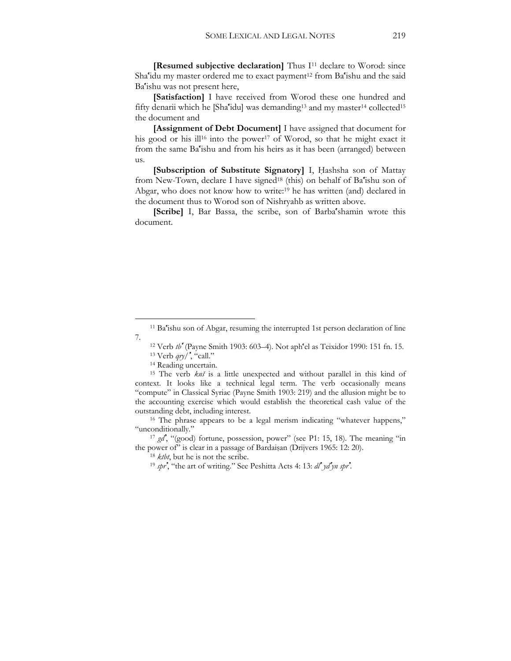**[Resumed subjective declaration]** Thus I<sup>11</sup> declare to Worod: since Sha'idu my master ordered me to exact payment<sup>12</sup> from Ba'ishu and the said Ba'ishu was not present here,

**[Satisfaction]** I have received from Worod these one hundred and fifty denarii which he [Sha'idu] was demanding<sup>13</sup> and my master<sup>14</sup> collected<sup>15</sup> the document and

**[Assignment of Debt Document]** I have assigned that document for his good or his ill<sup>16</sup> into the power<sup>17</sup> of Worod, so that he might exact it from the same Ba'ishu and from his heirs as it has been (arranged) between us.

**[Subscription of Substitute Signatory]** I, Ḥashsha son of Mattay from New-Town, declare I have signed<sup>18</sup> (this) on behalf of Ba'ishu son of Abgar, who does not know how to write:<sup>19</sup> he has written (and) declared in the document thus to Worod son of Nishryahb as written above.

**[Scribe]** I, Bar Bassa, the scribe, son of Barba'shamin wrote this document.

 $\overline{a}$ 

<sup>&</sup>lt;sup>11</sup> Ba'ishu son of Abgar, resuming the interrupted 1st person declaration of line 7.

<sup>12</sup> Verb *tb'* (Payne Smith 1903: 603–4). Not aph'el as Teixidor 1990: 151 fn. 15. 13 Verb *qry/'*, "call." 14 Reading uncertain.

<sup>15</sup> The verb *knš* is a little unexpected and without parallel in this kind of context. It looks like a technical legal term. The verb occasionally means "compute" in Classical Syriac (Payne Smith 1903: 219) and the allusion might be to the accounting exercise which would establish the theoretical cash value of the outstanding debt, including interest. 16 The phrase appears to be a legal merism indicating "whatever happens,"

<sup>&</sup>quot;unconditionally." 17 *gd'*, "(good) fortune, possession, power" (see P1: 15, 18). The meaning "in

the power of" is clear in a passage of Bardaisan (Drijvers 1965: 12: 20).<br><sup>18</sup> *ktbt*, but he is not the scribe.<br><sup>19</sup> *spr*<sup>2</sup>, "the art of writing." See Peshitta Acts 4: 13: *dl'*  $yd^2y$  *spr*<sup>2</sup>.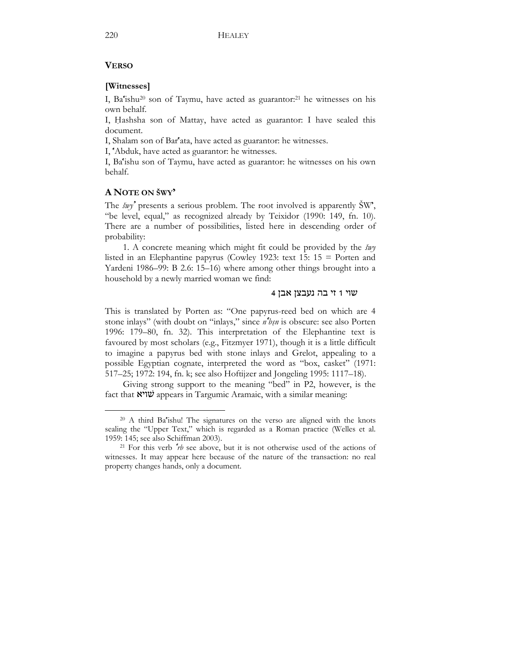# **VERSO**

# **[Witnesses]**

I, Ba'ishu20 son of Taymu, have acted as guarantor:21 he witnesses on his own behalf.

I, Ḥashsha son of Mattay, have acted as guarantor: I have sealed this document.

I, Shalam son of Bar'ata, have acted as guarantor: he witnesses.

I, 'Abduk, have acted as guarantor: he witnesses.

I, Ba'ishu son of Taymu, have acted as guarantor: he witnesses on his own behalf.

# **A NOTE ON ŠWY'**

 $\overline{a}$ 

The *šwy'* presents a serious problem. The root involved is apparently ŠW', "be level, equal," as recognized already by Teixidor (1990: 149, fn. 10). There are a number of possibilities, listed here in descending order of probability:

1. A concrete meaning which might fit could be provided by the *šwy* listed in an Elephantine papyrus (Cowley 1923: text 15: 15 = Porten and Yardeni 1986–99: B 2.6: 15–16) where among other things brought into a household by a newly married woman we find:

### שוי 1 זי בה נעבצן אבן 4

This is translated by Porten as: "One papyrus-reed bed on which are 4 stone inlays" (with doubt on "inlays," since *n'bṣn* is obscure: see also Porten 1996: 179–80, fn. 32). This interpretation of the Elephantine text is favoured by most scholars (e.g., Fitzmyer 1971), though it is a little difficult to imagine a papyrus bed with stone inlays and Grelot, appealing to a possible Egyptian cognate, interpreted the word as "box, casket" (1971: 517–25; 1972: 194, fn. k; see also Hoftijzer and Jongeling 1995: 1117–18).

Giving strong support to the meaning "bed" in P2, however, is the fact that שׁויא appears in Targumic Aramaic, with a similar meaning:

<sup>20</sup> A third Ba'ishu! The signatures on the verso are aligned with the knots sealing the "Upper Text," which is regarded as a Roman practice (Welles et al. 1959: 145; see also Schiffman 2003).<br><sup>21</sup> For this verb *'rb* see above, but it is not otherwise used of the actions of

witnesses. It may appear here because of the nature of the transaction: no real property changes hands, only a document.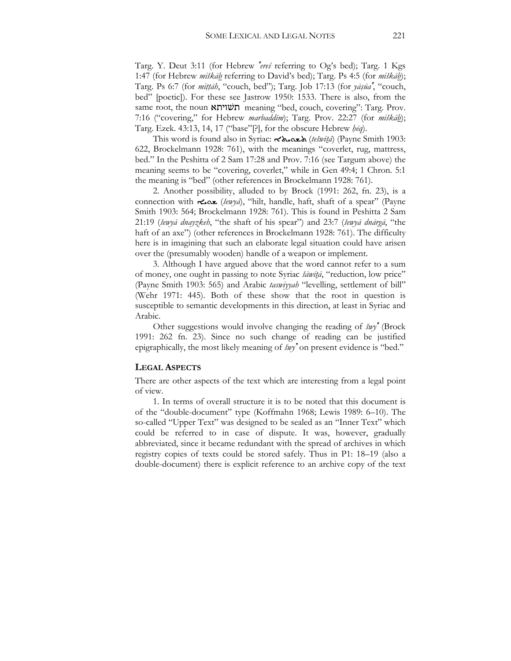Targ. Y. Deut 3:11 (for Hebrew *'ereś* referring to Og's bed); Targ. 1 Kgs 1:47 (for Hebrew *miškāb* referring to David's bed); Targ. Ps 4:5 (for *miškāb*); Targ. Ps 6:7 (for *miṭṭāh*, "couch, bed"); Targ. Job 17:13 (for *yāṣūa'*, "couch, bed" [poetic]). For these see Jastrow 1950: 1533. There is also, from the same root, the noun תשׁויתא meaning "bed, couch, covering": Targ. Prov. 7:16 ("covering," for Hebrew *marbaddīm*); Targ. Prov. 22:27 (for *miškāb*); Targ. Ezek. 43:13, 14, 17 ("base"[?], for the obscure Hebrew *ḥēq*).

This word is found also in Syriac: ܐÿØÍüܬ) *tešwītā*) (Payne Smith 1903: 622, Brockelmann 1928: 761), with the meanings "coverlet, rug, mattress, bed." In the Peshitta of 2 Sam 17:28 and Prov. 7:16 (see Targum above) the meaning seems to be "covering, coverlet," while in Gen 49:4; 1 Chron. 5:1 the meaning is "bed" (other references in Brockelmann 1928: 761).

2. Another possibility, alluded to by Brock (1991: 262, fn. 23), is a connection with  $\leq \infty$  (*šewya*), "hilt, handle, haft, shaft of a spear" (Payne Smith 1903: 564; Brockelmann 1928: 761). This is found in Peshitta 2 Sam 21:19 (*šewyā dnayzkeh*, "the shaft of his spear") and 23:7 (*šewyā dnārgā*, "the haft of an axe") (other references in Brockelmann 1928: 761). The difficulty here is in imagining that such an elaborate legal situation could have arisen over the (presumably wooden) handle of a weapon or implement.

3. Although I have argued above that the word cannot refer to a sum of money, one ought in passing to note Syriac *šāwītā*, "reduction, low price" (Payne Smith 1903: 565) and Arabic *taswiyyah* "levelling, settlement of bill" (Wehr 1971: 445). Both of these show that the root in question is susceptible to semantic developments in this direction, at least in Syriac and Arabic.

Other suggestions would involve changing the reading of *šwy'* (Brock 1991: 262 fn. 23). Since no such change of reading can be justified epigraphically, the most likely meaning of *šwy'* on present evidence is "bed."

### **LEGAL ASPECTS**

There are other aspects of the text which are interesting from a legal point of view.

1. In terms of overall structure it is to be noted that this document is of the "double-document" type (Koffmahn 1968; Lewis 1989: 6–10). The so-called "Upper Text" was designed to be sealed as an "Inner Text" which could be referred to in case of dispute. It was, however, gradually abbreviated, since it became redundant with the spread of archives in which registry copies of texts could be stored safely. Thus in P1: 18–19 (also a double-document) there is explicit reference to an archive copy of the text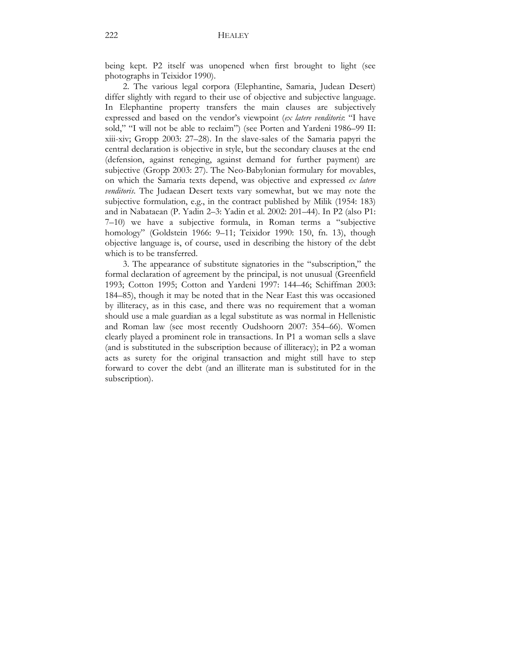being kept. P2 itself was unopened when first brought to light (see photographs in Teixidor 1990).

2. The various legal corpora (Elephantine, Samaria, Judean Desert) differ slightly with regard to their use of objective and subjective language. In Elephantine property transfers the main clauses are subjectively expressed and based on the vendor's viewpoint (*ex latere venditoris*: "I have sold," "I will not be able to reclaim") (see Porten and Yardeni 1986–99 II: xiii-xiv; Gropp 2003: 27–28). In the slave-sales of the Samaria papyri the central declaration is objective in style, but the secondary clauses at the end (defension, against reneging, against demand for further payment) are subjective (Gropp 2003: 27). The Neo-Babylonian formulary for movables, on which the Samaria texts depend, was objective and expressed *ex latere venditoris*. The Judaean Desert texts vary somewhat, but we may note the subjective formulation, e.g., in the contract published by Milik (1954: 183) and in Nabataean (P. Yadin 2–3: Yadin et al. 2002: 201–44). In P2 (also P1: 7–10) we have a subjective formula, in Roman terms a "subjective homology" (Goldstein 1966: 9–11; Teixidor 1990: 150, fn. 13), though objective language is, of course, used in describing the history of the debt which is to be transferred.

3. The appearance of substitute signatories in the "subscription," the formal declaration of agreement by the principal, is not unusual (Greenfield 1993; Cotton 1995; Cotton and Yardeni 1997: 144–46; Schiffman 2003: 184–85), though it may be noted that in the Near East this was occasioned by illiteracy, as in this case, and there was no requirement that a woman should use a male guardian as a legal substitute as was normal in Hellenistic and Roman law (see most recently Oudshoorn 2007: 354–66). Women clearly played a prominent role in transactions. In P1 a woman sells a slave (and is substituted in the subscription because of illiteracy); in P2 a woman acts as surety for the original transaction and might still have to step forward to cover the debt (and an illiterate man is substituted for in the subscription).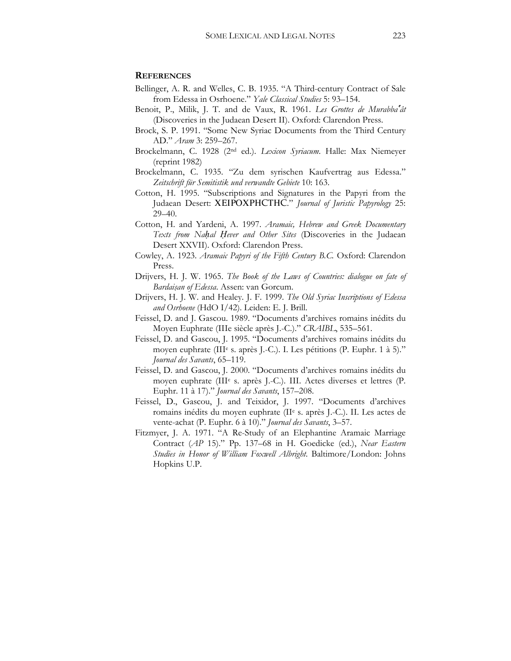#### **REFERENCES**

- Bellinger, A. R. and Welles, C. B. 1935. "A Third-century Contract of Sale from Edessa in Osrhoene." *Yale Classical Studies* 5: 93–154.
- Benoit, P., Milik, J. T. and de Vaux, R. 1961. *Les Grottes de Murabba'ât* (Discoveries in the Judaean Desert II). Oxford: Clarendon Press.
- Brock, S. P. 1991. "Some New Syriac Documents from the Third Century AD." *Aram* 3: 259–267.
- Brockelmann, C. 1928 (2nd ed.). *Lexicon Syriacum*. Halle: Max Niemeyer (reprint 1982)
- Brockelmann, C. 1935. "Zu dem syrischen Kaufvertrag aus Edessa." *Zeitschrift für Semitistik und verwandte Gebiete* 10: 163.
- Cotton, H. 1995. "Subscriptions and Signatures in the Papyri from the Judaean Desert: XEIPOXPHCTHC." *Journal of Juristic Papyrology* 25: 29–40.
- Cotton, H. and Yardeni, A. 1997. *Aramaic, Hebrew and Greek Documentary Texts from Naḥal Ḥever and Other Sites* (Discoveries in the Judaean Desert XXVII). Oxford: Clarendon Press.
- Cowley, A. 1923. *Aramaic Papyri of the Fifth Century B.C.* Oxford: Clarendon Press.
- Drijvers, H. J. W. 1965. *The Book of the Laws of Countries: dialogue on fate of Bardaiṣan of Edessa*. Assen: van Gorcum.
- Drijvers, H. J. W. and Healey. J. F. 1999. *The Old Syriac Inscriptions of Edessa and Osrhoene* (HdO I/42). Leiden: E. J. Brill.
- Feissel, D. and J. Gascou. 1989. "Documents d'archives romains inédits du Moyen Euphrate (IIIe siècle après J.-C.)." *CRAIBL*, 535–561.
- Feissel, D. and Gascou, J. 1995. "Documents d'archives romains inédits du moyen euphrate (IIIe s. après J.-C.). I. Les pétitions (P. Euphr. 1 à 5)." *Journal des Savants*, 65–119.
- Feissel, D. and Gascou, J. 2000. "Documents d'archives romains inédits du moyen euphrate (IIIe s. après J.-C.). III. Actes diverses et lettres (P. Euphr. 11 à 17)." *Journal des Savants*, 157–208.
- Feissel, D., Gascou, J. and Teixidor, J. 1997. "Documents d'archives romains inédits du moyen euphrate (IIe s. après J.-C.). II. Les actes de vente-achat (P. Euphr. 6 à 10)." *Journal des Savants*, 3–57.
- Fitzmyer, J. A. 1971. "A Re-Study of an Elephantine Aramaic Marriage Contract (*AP* 15)." Pp. 137–68 in H. Goedicke (ed.), *Near Eastern Studies in Honor of William Foxwell Albright*. Baltimore/London: Johns Hopkins U.P.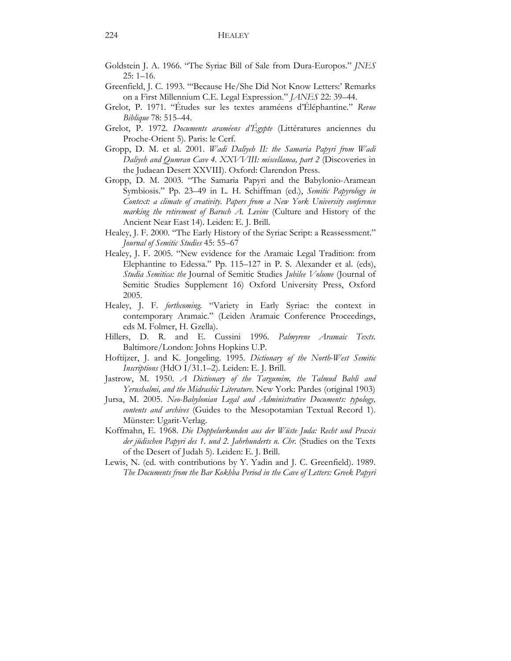- Goldstein J. A. 1966. "The Syriac Bill of Sale from Dura-Europos." *JNES* 25: 1–16.
- Greenfield, J. C. 1993. "'Because He/She Did Not Know Letters:' Remarks on a First Millennium C.E. Legal Expression." *JANES* 22: 39–44.
- Grelot, P. 1971. "Études sur les textes araméens d'Éléphantine." *Revue Biblique* 78: 515–44.
- Grelot, P. 1972. *Documents araméens d'Égypte* (Littératures anciennes du Proche-Orient 5). Paris: le Cerf.
- Gropp, D. M. et al. 2001. *Wadi Daliyeh II: the Samaria Papyri from Wadi Daliyeh and Qumran Cave 4. XXVVIII: miscellanea, part 2* (Discoveries in the Judaean Desert XXVIII). Oxford: Clarendon Press.
- Gropp, D. M. 2003. "The Samaria Papyri and the Babylonio-Aramean Symbiosis." Pp. 23–49 in L. H. Schiffman (ed.), *Semitic Papyrology in Context: a climate of creativity. Papers from a New York University conference marking the retirement of Baruch A. Levine* (Culture and History of the Ancient Near East 14). Leiden: E. J. Brill.
- Healey, J. F. 2000. "The Early History of the Syriac Script: a Reassessment." *Journal of Semitic Studies* 45: 55–67
- Healey, J. F. 2005. "New evidence for the Aramaic Legal Tradition: from Elephantine to Edessa." Pp. 115–127 in P. S. Alexander et al. (eds), *Studia Semitica: the* Journal of Semitic Studies *Jubilee Volume* (Journal of Semitic Studies Supplement 16) Oxford University Press, Oxford 2005.
- Healey, J. F. *forthcoming*. "Variety in Early Syriac: the context in contemporary Aramaic." (Leiden Aramaic Conference Proceedings, eds M. Folmer, H. Gzella).
- Hillers, D. R. and E. Cussini 1996. *Palmyrene Aramaic Texts*. Baltimore/London: Johns Hopkins U.P.
- Hoftijzer, J. and K. Jongeling. 1995. *Dictionary of the North-West Semitic Inscriptions* (HdO I/31.1–2). Leiden: E. J. Brill.
- Jastrow, M. 1950. *A Dictionary of the Targumim, the Talmud Babli and Yerushalmi, and the Midrashic Literature*. New York: Pardes (original 1903)
- Jursa, M. 2005. *Neo-Babylonian Legal and Administrative Documents: typology, contents and archives* (Guides to the Mesopotamian Textual Record 1). Münster: Ugarit-Verlag.
- Koffmahn, E. 1968. *Die Doppelurkunden aus der Wüste Juda: Recht und Praxis der jüdischen Papyri des 1. und 2. Jahrhunderts n. Chr.* (Studies on the Texts of the Desert of Judah 5). Leiden: E. J. Brill.
- Lewis, N. (ed. with contributions by Y. Yadin and J. C. Greenfield). 1989. *The Documents from the Bar Kokhba Period in the Cave of Letters: Greek Papyri*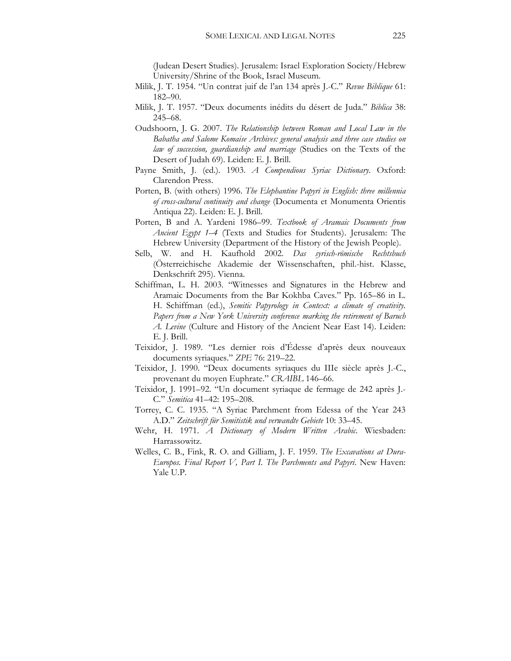(Judean Desert Studies). Jerusalem: Israel Exploration Society/Hebrew University/Shrine of the Book, Israel Museum.

- Milik, J. T. 1954. "Un contrat juif de l'an 134 après J.-C." *Revue Biblique* 61: 182–90.
- Milik, J. T. 1957. "Deux documents inédits du désert de Juda." *Biblica* 38: 245–68.
- Oudshoorn, J. G. 2007. *The Relationship between Roman and Local Law in the Babatha and Salome Komaise Archives: general analysis and three case studies on law of succession, guardianship and marriage* (Studies on the Texts of the Desert of Judah 69). Leiden: E. J. Brill.
- Payne Smith, J. (ed.). 1903. *A Compendious Syriac Dictionary*. Oxford: Clarendon Press.
- Porten, B. (with others) 1996. *The Elephantine Papyri in English: three millennia of cross-cultural continuity and change* (Documenta et Monumenta Orientis Antiqua 22). Leiden: E. J. Brill.
- Porten, B and A. Yardeni 1986–99. *Textbook of Aramaic Documents from Ancient Egypt 1–4* (Texts and Studies for Students). Jerusalem: The Hebrew University (Department of the History of the Jewish People).
- Selb, W. and H. Kaufhold 2002. *Das syrisch-römische Rechtsbuch*  (Österreichische Akademie der Wissenschaften, phil.-hist. Klasse, Denkschrift 295). Vienna.
- Schiffman, L. H. 2003. "Witnesses and Signatures in the Hebrew and Aramaic Documents from the Bar Kokhba Caves." Pp. 165–86 in L. H. Schiffman (ed.), *Semitic Papyrology in Context: a climate of creativity. Papers from a New York University conference marking the retirement of Baruch A. Levine* (Culture and History of the Ancient Near East 14). Leiden: E. J. Brill.
- Teixidor, J. 1989. "Les dernier rois d'Édesse d'après deux nouveaux documents syriaques." *ZPE* 76: 219–22.
- Teixidor, J. 1990. "Deux documents syriaques du IIIe siècle après J.-C., provenant du moyen Euphrate." *CRAIBL* 146–66.
- Teixidor, J. 1991–92. "Un document syriaque de fermage de 242 après J.- C." *Semitica* 41–42: 195–208.
- Torrey, C. C. 1935. "A Syriac Parchment from Edessa of the Year 243 A.D." *Zeitschrift für Semitistik und verwandte Gebiete* 10: 33–45.
- Wehr, H. 1971. *A Dictionary of Modern Written Arabic*. Wiesbaden: Harrassowitz.
- Welles, C. B., Fink, R. O. and Gilliam, J. F. 1959. *The Excavations at Dura-Europos. Final Report V, Part I. The Parchments and Papyri*. New Haven: Yale U.P.